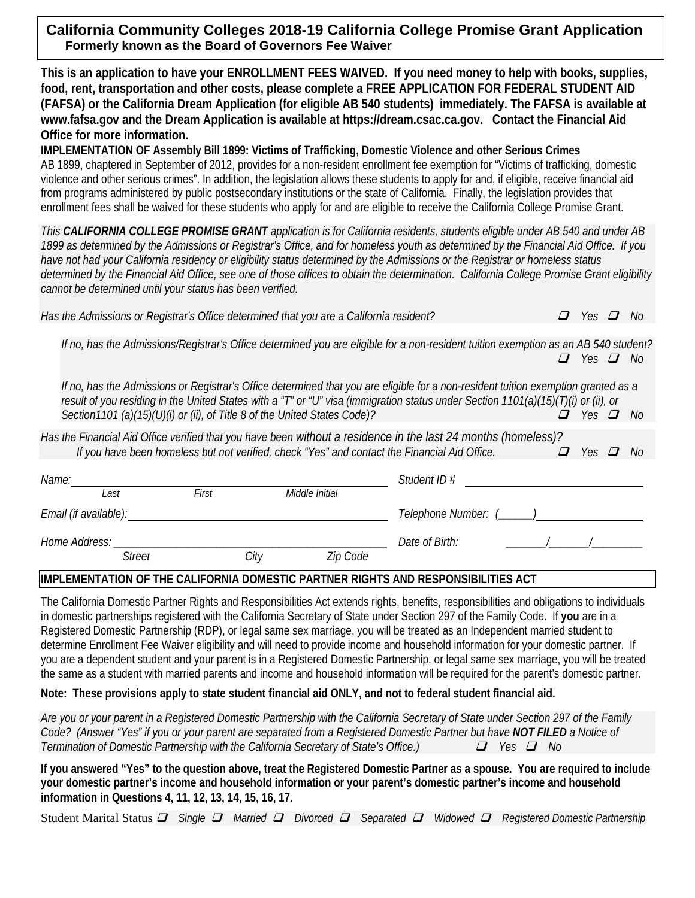# **California Community Colleges 2018-19 California College Promise Grant Application Formerly known as the Board of Governors Fee Waiver**

**This is an application to have your ENROLLMENT FEES WAIVED. If you need money to help with books, supplies, food, rent, transportation and other costs, please complete a FREE APPLICATION FOR FEDERAL STUDENT AID (FAFSA) or the California Dream Application (for eligible AB 540 students) immediately. The FAFSA is available at www.fafsa.gov and the Dream Application is available at https://dream.csac.ca.gov. Contact the Financial Aid Office for more information.** 

**IMPLEMENTATION OF Assembly Bill 1899: Victims of Trafficking, Domestic Violence and other Serious Crimes**  AB 1899, chaptered in September of 2012, provides for a non-resident enrollment fee exemption for "Victims of trafficking, domestic violence and other serious crimes". In addition, the legislation allows these students to apply for and, if eligible, receive financial aid from programs administered by public postsecondary institutions or the state of California. Finally, the legislation provides that enrollment fees shall be waived for these students who apply for and are eligible to receive the California College Promise Grant.

*This CALIFORNIA COLLEGE PROMISE GRANT application is for California residents, students eligible under AB 540 and under AB 1899 as determined by the Admissions or Registrar's Office, and for homeless youth as determined by the Financial Aid Office. If you have not had your California residency or eligibility status determined by the Admissions or the Registrar or homeless status determined by the Financial Aid Office, see one of those offices to obtain the determination. California College Promise Grant eligibility cannot be determined until your status has been verified.*

*Has the Admissions or Registrar's Office determined that you are a California resident?*  $\Box$  *Yes*  $\Box$  *No* 

*If no, has the Admissions/Registrar's Office determined you are eligible for a non-resident tuition exemption as an AB 540 student? Yes No*

*If no, has the Admissions or Registrar's Office determined that you are eligible for a non-resident tuition exemption granted as a result of you residing in the United States with a "T" or "U" visa (immigration status under Section 1101(a)(15)(T)(i) or (ii), or Section1101* (a)(15)(U)(i) or (ii), of Title 8 of the United States Code)?  $\Box$  *Yes*  $\Box$  *Yes*  $\Box$  *No* 

*Has the Financial Aid Office verified that you have been without a residence in the last 24 months (homeless)? If you have been homeless but not verified, check "Yes" and contact the Financial Aid Office.*  $\Box$  *Yes*  $\Box$  *No* 

| Name:                 |        |       | Student ID #   |                     |  |
|-----------------------|--------|-------|----------------|---------------------|--|
| Last                  |        | First | Middle Initial |                     |  |
| Email (if available): |        |       |                | Telephone Number: ( |  |
| Home Address:         |        |       |                | Date of Birth:      |  |
|                       | Street | City  | Zip Code       |                     |  |

## **IMPLEMENTATION OF THE CALIFORNIA DOMESTIC PARTNER RIGHTS AND RESPONSIBILITIES ACT**

The California Domestic Partner Rights and Responsibilities Act extends rights, benefits, responsibilities and obligations to individuals in domestic partnerships registered with the California Secretary of State under Section 297 of the Family Code. If **you** are in a Registered Domestic Partnership (RDP), or legal same sex marriage, you will be treated as an Independent married student to determine Enrollment Fee Waiver eligibility and will need to provide income and household information for your domestic partner. If you are a dependent student and your parent is in a Registered Domestic Partnership, or legal same sex marriage, you will be treated the same as a student with married parents and income and household information will be required for the parent's domestic partner.

**Note: These provisions apply to state student financial aid ONLY, and not to federal student financial aid.**

*Are you or your parent in a Registered Domestic Partnership with the California Secretary of State under Section 297 of the Family Code? (Answer "Yes" if you or your parent are separated from a Registered Domestic Partner but have NOT FILED a Notice of Termination of Domestic Partnership with the California Secretary of State's Office.)*  $\Box$  *Yes*  $\Box$  No

**If you answered "Yes" to the question above, treat the Registered Domestic Partner as a spouse. You are required to include your domestic partner's income and household information or your parent's domestic partner's income and household information in Questions 4, 11, 12, 13, 14, 15, 16, 17.**

Student Marital Status *Single Married Divorced Separated Widowed Registered Domestic Partnership*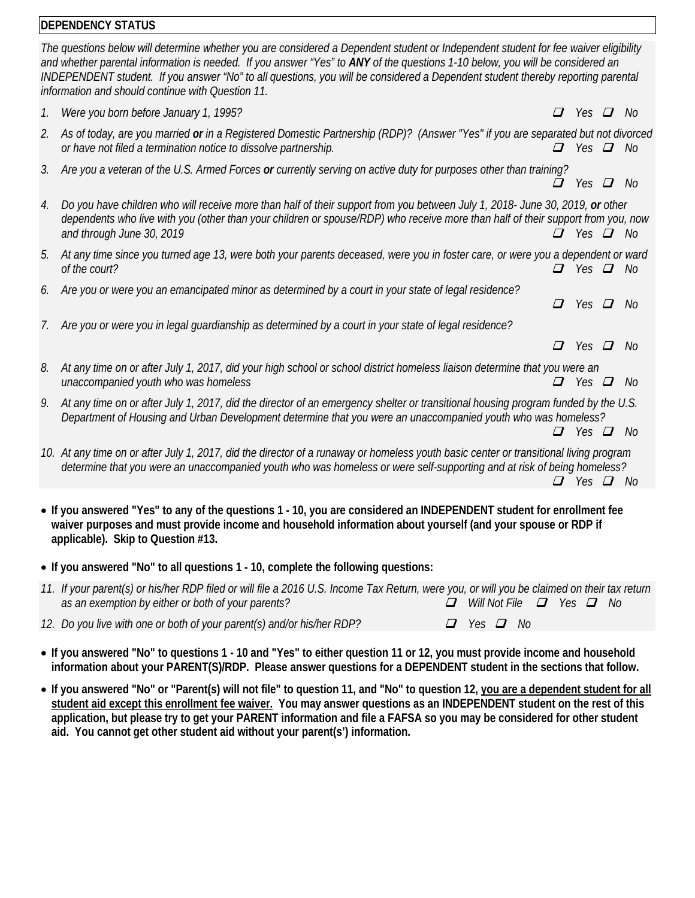# **DEPENDENCY STATUS**

|    | <b>IDEPENDENCY STATUS</b>                                                                                                                                                                                                                                                                                                                                                                                                                                    |                          |               |      |
|----|--------------------------------------------------------------------------------------------------------------------------------------------------------------------------------------------------------------------------------------------------------------------------------------------------------------------------------------------------------------------------------------------------------------------------------------------------------------|--------------------------|---------------|------|
|    | The questions below will determine whether you are considered a Dependent student or Independent student for fee waiver eligibility<br>and whether parental information is needed. If you answer "Yes" to ANY of the questions 1-10 below, you will be considered an<br>INDEPENDENT student. If you answer "No" to all questions, you will be considered a Dependent student thereby reporting parental<br>information and should continue with Question 11. |                          |               |      |
| 1. | Were you born before January 1, 1995?                                                                                                                                                                                                                                                                                                                                                                                                                        | $\Box$                   | Yes $\Box$    | - No |
| 2. | As of today, are you married or in a Registered Domestic Partnership (RDP)? (Answer "Yes" if you are separated but not divorced<br>or have not filed a termination notice to dissolve partnership.                                                                                                                                                                                                                                                           | $\varDelta$              | Yes $\Box$    | - No |
| 3. | Are you a veteran of the U.S. Armed Forces or currently serving on active duty for purposes other than training?                                                                                                                                                                                                                                                                                                                                             |                          | Yes $\Box$    | - No |
| 4. | Do you have children who will receive more than half of their support from you between July 1, 2018- June 30, 2019, or other<br>dependents who live with you (other than your children or spouse/RDP) who receive more than half of their support from you, now<br>and through June 30, 2019                                                                                                                                                                 |                          | Yes $\Box$ No |      |
| 5. | At any time since you turned age 13, were both your parents deceased, were you in foster care, or were you a dependent or ward<br>of the court?                                                                                                                                                                                                                                                                                                              |                          | Yes $\Box$    | - No |
| 6. | Are you or were you an emancipated minor as determined by a court in your state of legal residence?                                                                                                                                                                                                                                                                                                                                                          | $\boldsymbol{\varOmega}$ | Yes $\Box$    | - No |
|    | Are you or were you in legal quardianship as determined by a court in your state of legal residence?                                                                                                                                                                                                                                                                                                                                                         |                          |               |      |
|    |                                                                                                                                                                                                                                                                                                                                                                                                                                                              |                          | Yes $\Box$    | - No |
| 8. | At any time on or after July 1, 2017, did your high school or school district homeless liaison determine that you were an<br>unaccompanied youth who was homeless                                                                                                                                                                                                                                                                                            |                          | Yes $\Box$    | No.  |
| 9. | At any time on or after July 1, 2017, did the director of an emergency shelter or transitional housing program funded by the U.S.<br>Department of Housing and Urban Development determine that you were an unaccompanied youth who was homeless?                                                                                                                                                                                                            |                          |               |      |
|    |                                                                                                                                                                                                                                                                                                                                                                                                                                                              |                          | Yes $\Box$    | - No |
|    | 10. At any time on or after July 1, 2017, did the director of a runaway or homeless youth basic center or transitional living program<br>determine that you were an unaccompanied youth who was homeless or were self-supporting and at risk of being homeless?                                                                                                                                                                                              | $\mathbf{\mathcal{L}}$   | Yes $\Box$ No |      |
|    |                                                                                                                                                                                                                                                                                                                                                                                                                                                              |                          |               |      |

- **If you answered "Yes" to any of the questions 1 - 10, you are considered an INDEPENDENT student for enrollment fee waiver purposes and must provide income and household information about yourself (and your spouse or RDP if applicable). Skip to Question #13.**
- **If you answered "No" to all questions 1 - 10, complete the following questions:**

| 11. If your parent(s) or his/her RDP filed or will file a 2016 U.S. Income Tax Return, were you, or will you be claimed on their tax return |                                           |
|---------------------------------------------------------------------------------------------------------------------------------------------|-------------------------------------------|
| as an exemption by either or both of your parents?                                                                                          | $\Box$ Will Not File $\Box$ Yes $\Box$ No |

*12. Do you live with one or both of your parent(s) and/or his/her RDP?*  $\Box$  *Yes*  $\Box$  *No* 

- **If you answered "No" to questions 1 - 10 and "Yes" to either question 11 or 12, you must provide income and household information about your PARENT(S)/RDP. Please answer questions for a DEPENDENT student in the sections that follow.**
- **If you answered "No" or "Parent(s) will not file" to question 11, and "No" to question 12, you are a dependent student for all student aid except this enrollment fee waiver. You may answer questions as an INDEPENDENT student on the rest of this application, but please try to get your PARENT information and file a FAFSA so you may be considered for other student aid. You cannot get other student aid without your parent(s') information.**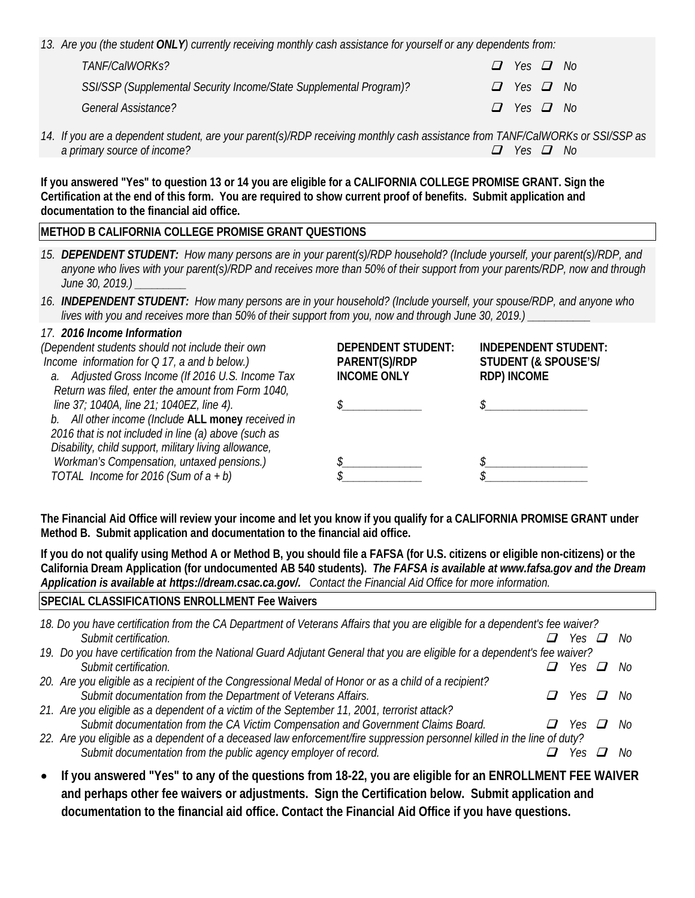*13. Are you (the student ONLY) currently receiving monthly cash assistance for yourself or any dependents from:*

| TANF/CalWORKs?                                                     | $\Box$ Yes $\Box$ No |  |
|--------------------------------------------------------------------|----------------------|--|
| SSI/SSP (Supplemental Security Income/State Supplemental Program)? | $\Box$ Yes $\Box$ No |  |
| General Assistance?                                                | $\Box$ Yes $\Box$ No |  |

*14. If you are a dependent student, are your parent(s)/RDP receiving monthly cash assistance from TANF/CalWORKs or SSI/SSP as a primary source of income?*  $\Box$  *Yes*  $\Box$  *No* 

**If you answered "Yes" to question 13 or 14 you are eligible for a CALIFORNIA COLLEGE PROMISE GRANT. Sign the Certification at the end of this form. You are required to show current proof of benefits. Submit application and documentation to the financial aid office.**

## **METHOD B CALIFORNIA COLLEGE PROMISE GRANT QUESTIONS**

- *15. DEPENDENT STUDENT: How many persons are in your parent(s)/RDP household? (Include yourself, your parent(s)/RDP, and anyone who lives with your parent(s)/RDP and receives more than 50% of their support from your parents/RDP, now and through June 30, 2019.) \_\_\_\_\_\_\_\_\_*
- *16. INDEPENDENT STUDENT: How many persons are in your household? (Include yourself, your spouse/RDP, and anyone who lives with you and receives more than 50% of their support from you, now and through June 30, 2019.) \_\_\_\_\_\_\_\_\_\_\_*

#### *17. 2016 Income Information*

| (Dependent students should not include their own<br>Income information for $Q$ 17, a and b below.)<br>a. Adjusted Gross Income (If 2016 U.S. Income Tax<br>Return was filed, enter the amount from Form 1040, | <b>DEPENDENT STUDENT:</b><br>PARENT(S)/RDP<br><b>INCOME ONLY</b> | <b>INDEPENDENT STUDENT:</b><br>STUDENT (& SPOUSE'S/<br><b>RDP) INCOME</b> |
|---------------------------------------------------------------------------------------------------------------------------------------------------------------------------------------------------------------|------------------------------------------------------------------|---------------------------------------------------------------------------|
| line 37; 1040A, line 21; 1040EZ, line 4).<br>b. All other income (Include ALL money received in<br>2016 that is not included in line (a) above (such as                                                       |                                                                  |                                                                           |
| Disability, child support, military living allowance,<br>Workman's Compensation, untaxed pensions.)<br>TOTAL Income for 2016 (Sum of $a + b$ )                                                                |                                                                  |                                                                           |

**The Financial Aid Office will review your income and let you know if you qualify for a CALIFORNIA PROMISE GRANT under Method B. Submit application and documentation to the financial aid office.**

**If you do not qualify using Method A or Method B, you should file a FAFSA (for U.S. citizens or eligible non-citizens) or the California Dream Application (for undocumented AB 540 students).** *The FAFSA is available at www.fafsa.gov and the Dream Application is available at https://dream.csac.ca.gov/. Contact the Financial Aid Office for more information.*

### **SPECIAL CLASSIFICATIONS ENROLLMENT Fee Waivers**

| 18. Do you have certification from the CA Department of Veterans Affairs that you are eligible for a dependent's fee waiver? |  |                                                                                                                          |                                                                                                                                                                                            |  |  |
|------------------------------------------------------------------------------------------------------------------------------|--|--------------------------------------------------------------------------------------------------------------------------|--------------------------------------------------------------------------------------------------------------------------------------------------------------------------------------------|--|--|
|                                                                                                                              |  |                                                                                                                          |                                                                                                                                                                                            |  |  |
|                                                                                                                              |  |                                                                                                                          |                                                                                                                                                                                            |  |  |
|                                                                                                                              |  |                                                                                                                          |                                                                                                                                                                                            |  |  |
|                                                                                                                              |  |                                                                                                                          |                                                                                                                                                                                            |  |  |
| $\prime$                                                                                                                     |  |                                                                                                                          |                                                                                                                                                                                            |  |  |
|                                                                                                                              |  |                                                                                                                          |                                                                                                                                                                                            |  |  |
|                                                                                                                              |  | $\perp$                                                                                                                  | - No                                                                                                                                                                                       |  |  |
|                                                                                                                              |  |                                                                                                                          |                                                                                                                                                                                            |  |  |
|                                                                                                                              |  |                                                                                                                          | .Nr                                                                                                                                                                                        |  |  |
|                                                                                                                              |  | 22. Are you eligible as a dependent of a deceased law enforcement/fire suppression personnel killed in the line of duty? | Yes <b>□</b> No<br>19. Do you have certification from the National Guard Adjutant General that you are eligible for a dependent's fee waiver?<br>Yes <b>□</b> No<br>Yes <b>⊡</b> No<br>Yes |  |  |

• **If you answered "Yes" to any of the questions from 18-22, you are eligible for an ENROLLMENT FEE WAIVER and perhaps other fee waivers or adjustments. Sign the Certification below. Submit application and documentation to the financial aid office. Contact the Financial Aid Office if you have questions.**